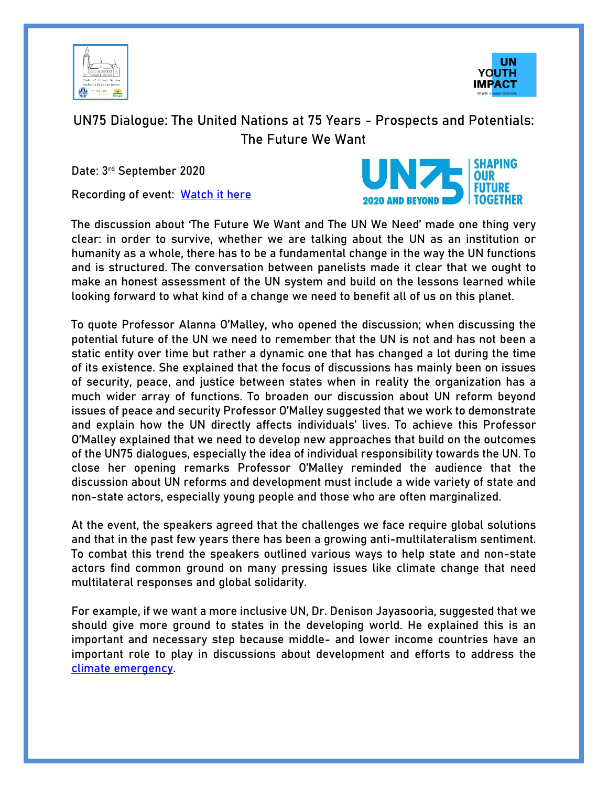



## UN75 Dialogue: The United Nations at 75 Years - Prospects and Potentials: The Future We Want

Date: 3rd September 2020

Recording of event: [Watch it here](https://bic-org.zoom.us/rec/play/iv48X5EuKILo1fzg54z-7gM2asspu4LUakdaNtqtlpt_I9GZEHXDRiOpLKrp2vD0erG9zt7KDi3KdaCm.0r801s-i6Kh9o6if?startTime=1599138167000&_x_zm_rtaid=tdecR3wpShGk7OBqjCVkhQ.1599733948483.47a448a3d148186c57f1f1d4865ffc47&_x_zm_rhtaid=321)



The discussion about 'The Future We Want and The UN We Need' made one thing very clear: in order to survive, whether we are talking about the UN as an institution or humanity as a whole, there has to be a fundamental change in the way the UN functions and is structured. The conversation between panelists made it clear that we ought to make an honest assessment of the UN system and build on the lessons learned while looking forward to what kind of a change we need to benefit all of us on this planet.

To quote Professor Alanna O'Malley, who opened the discussion; when discussing the potential future of the UN we need to remember that the UN is not and has not been a static entity over time but rather a dynamic one that has changed a lot during the time of its existence. She explained that the focus of discussions has mainly been on issues of security, peace, and justice between states when in reality the organization has a much wider array of functions. To broaden our discussion about UN reform beyond issues of peace and security Professor O'Malley suggested that we work to demonstrate and explain how the UN directly affects individuals' lives. To achieve this Professor O'Malley explained that we need to develop new approaches that build on the outcomes of the UN75 dialogues, especially the idea of individual responsibility towards the UN. To close her opening remarks Professor O'Malley reminded the audience that the discussion about UN reforms and development must include a wide variety of state and non-state actors, especially young people and those who are often marginalized.

At the event, the speakers agreed that the challenges we face require global solutions and that in the past few years there has been a growing anti-multilateralism sentiment. To combat this trend the speakers outlined various ways to help state and non-state actors find common ground on many pressing issues like climate change that need multilateral responses and global solidarity.

For example, if we want a more inclusive UN, Dr. Denison Jayasooria, suggested that we should give more ground to states in the developing world. He explained this is an important and necessary step because middle- and lower income countries have an important role to play in discussions about development and efforts to address the [climate emergency.](https://www.unenvironment.org/explore-topics/climate-change/facts-about-climate-emergency)